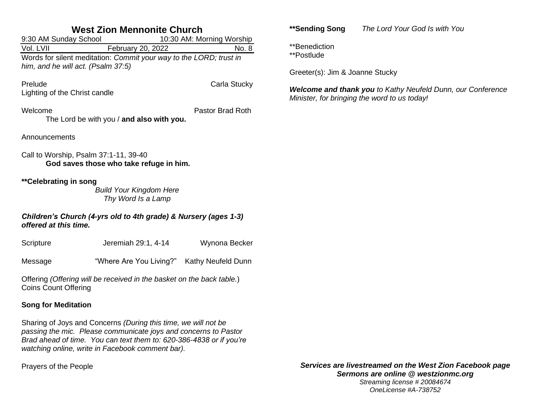## **West Zion Mennonite Church**

9:30 AM Sunday School 10:30 AM: Morning Worship Vol. LVII February 20, 2022 No. 8 Words for silent meditation: *Commit your way to the LORD; trust in him, and he will act. (Psalm 37:5)*

Prelude Carla Stucky Lighting of the Christ candle

Welcome Pastor Brad Roth

The Lord be with you / **and also with you.**

Announcements

Call to Worship, Psalm 37:1-11, 39-40 **God saves those who take refuge in him.**

**\*\*Celebrating in song**

*Build Your Kingdom Here Thy Word Is a Lamp*

### *Children's Church (4-yrs old to 4th grade) & Nursery (ages 1-3) offered at this time.*

Scripture **Jeremiah 29:1, 4-14** Wynona Becker Message "Where Are You Living?" Kathy Neufeld Dunn

Offering *(Offering will be received in the basket on the back table.*) Coins Count Offering

## **Song for Meditation**

Sharing of Joys and Concerns *(During this time, we will not be passing the mic. Please communicate joys and concerns to Pastor Brad ahead of time. You can text them to: 620-386-4838 or if you're watching online, write in Facebook comment bar).*

Prayers of the People

**\*\*Sending Song** *The Lord Your God Is with You*

\*\*Benediction

\*\*Postlude

Greeter(s): Jim & Joanne Stucky

*Welcome and thank you to Kathy Neufeld Dunn, our Conference Minister, for bringing the word to us today!*

*Services are livestreamed on the West Zion Facebook page Sermons are online @ westzionmc.org Streaming license # 20084674 OneLicense #A-738752*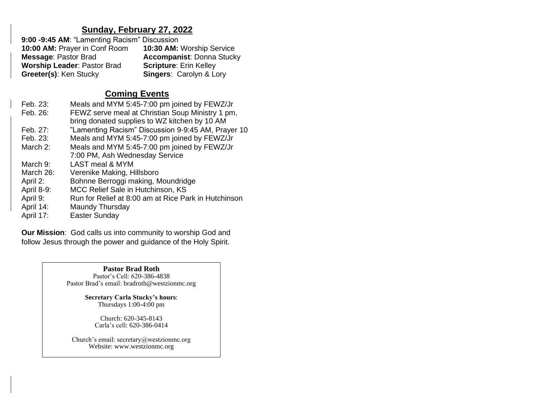## **Sunday, February 27, 2022**

| 9:00 -9:45 AM: "Lamenting Racism" Discussion |                                    |
|----------------------------------------------|------------------------------------|
| 10:00 AM: Prayer in Conf Room                | 10:30 AM: Worship Service          |
| <b>Message: Pastor Brad</b>                  | <b>Accompanist: Donna Stucky</b>   |
| <b>Worship Leader: Pastor Brad</b>           | <b>Scripture: Erin Kelley</b>      |
| Greeter(s): Ken Stucky                       | <b>Singers: Carolyn &amp; Lory</b> |

# **Coming Events**

| Feb. 23:   | Meals and MYM 5:45-7:00 pm joined by FEWZ/Jr         |
|------------|------------------------------------------------------|
| Feb. 26:   | FEWZ serve meal at Christian Soup Ministry 1 pm,     |
|            | bring donated supplies to WZ kitchen by 10 AM        |
| Feb. 27:   | "Lamenting Racism" Discussion 9-9:45 AM, Prayer 10   |
| Feb. 23:   | Meals and MYM 5:45-7:00 pm joined by FEWZ/Jr         |
| March 2:   | Meals and MYM 5:45-7:00 pm joined by FEWZ/Jr         |
|            | 7:00 PM, Ash Wednesday Service                       |
| March 9:   | LAST meal & MYM                                      |
| March 26:  | Verenike Making, Hillsboro                           |
| April 2:   | Bohnne Berroggi making, Moundridge                   |
| April 8-9: | MCC Relief Sale in Hutchinson, KS                    |
| April 9:   | Run for Relief at 8:00 am at Rice Park in Hutchinson |
| April 14:  | Maundy Thursday                                      |
|            |                                                      |

April 17: Easter Sunday

**Our Mission**: God calls us into community to worship God and follow Jesus through the power and guidance of the Holy Spirit.

> **Pastor Brad Roth** Pastor's Cell: 620-386-4838 Pastor Brad's email: bradroth@westzionmc.org

> > **Secretary Carla Stucky's hours**: Thursdays 1:00-4:00 pm

> > > Church: 620-345-8143 Carla's cell: 620-386-0414

Church's email: secretary@westzionmc.org Website: www.westzionmc.org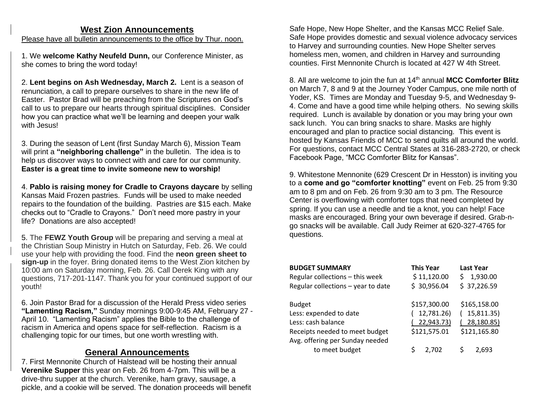## **West Zion Announcements**

Please have all bulletin announcements to the office by Thur. noon.

1. We **welcome Kathy Neufeld Dunn,** our Conference Minister, as she comes to bring the word today!

2. **Lent begins on Ash Wednesday, March 2.** Lent is a season of renunciation, a call to prepare ourselves to share in the new life of Easter. Pastor Brad will be preaching from the Scriptures on God's call to us to prepare our hearts through spiritual disciplines. Consider how you can practice what we'll be learning and deepen your walk with Jesus!

3. During the season of Lent (first Sunday March 6), Mission Team will print a **"neighboring challenge"** in the bulletin. The idea is to help us discover ways to connect with and care for our community. **Easter is a great time to invite someone new to worship!**

4. **Pablo is raising money for Cradle to Crayons daycare** by selling Kansas Maid Frozen pastries. Funds will be used to make needed repairs to the foundation of the building. Pastries are \$15 each. Make checks out to "Cradle to Crayons." Don't need more pastry in your life? Donations are also accepted!

5. The **FEWZ Youth Group** will be preparing and serving a meal at the Christian Soup Ministry in Hutch on Saturday, Feb. 26. We could use your help with providing the food. Find the **neon green sheet to sign-up** in the foyer. Bring donated items to the West Zion kitchen by 10:00 am on Saturday morning, Feb. 26. Call Derek King with any questions, 717-201-1147. Thank you for your continued support of our youth!

6. Join Pastor Brad for a discussion of the Herald Press video series **"Lamenting Racism,"** Sunday mornings 9:00-9:45 AM, February 27 - April 10. "Lamenting Racism" applies the Bible to the challenge of racism in America and opens space for self-reflection. Racism is a challenging topic for our times, but one worth wrestling with.

## **General Announcements**

7. First Mennonite Church of Halstead will be hosting their annual **Verenike Supper** this year on Feb. 26 from 4-7pm. This will be a drive-thru supper at the church. Verenike, ham gravy, sausage, a pickle, and a cookie will be served. The donation proceeds will benefit

Safe Hope, New Hope Shelter, and the Kansas MCC Relief Sale. Safe Hope provides domestic and sexual violence advocacy services to Harvey and surrounding counties. New Hope Shelter serves homeless men, women, and children in Harvey and surrounding counties. First Mennonite Church is located at 427 W 4th Street.

8. All are welcome to join the fun at 14<sup>th</sup> annual MCC Comforter Blitz on March 7, 8 and 9 at the Journey Yoder Campus, one mile north of Yoder, KS. Times are Monday and Tuesday 9-5, and Wednesday 9- 4. Come and have a good time while helping others. No sewing skills required. Lunch is available by donation or you may bring your own sack lunch. You can bring snacks to share. Masks are highly encouraged and plan to practice social distancing. This event is hosted by Kansas Friends of MCC to send quilts all around the world. For questions, contact MCC Central States at 316-283-2720, or check Facebook Page, "MCC Comforter Blitz for Kansas".

9. Whitestone Mennonite (629 Crescent Dr in Hesston) is inviting you to a **come and go "comforter knotting"** event on Feb. 25 from 9:30 am to 8 pm and on Feb. 26 from 9:30 am to 3 pm. The Resource Center is overflowing with comforter tops that need completed by spring. If you can use a needle and tie a knot, you can help! Face masks are encouraged. Bring your own beverage if desired. Grab-ngo snacks will be available. Call Judy Reimer at 620-327-4765 for questions.

| <b>This Year</b><br><b>BUDGET SUMMARY</b>           | <b>Last Year</b> |
|-----------------------------------------------------|------------------|
| \$11,120.00<br>Regular collections - this week<br>Ś | 1,930.00         |
| \$30,956.04<br>Regular collections - year to date   | \$37,226.59      |
|                                                     |                  |
| \$157,300.00<br><b>Budget</b>                       | \$165,158.00     |
| 12,781.26)<br>Less: expended to date                | 15,811.35)       |
| Less: cash balance<br>22,943.73)                    | 28,180.85)       |
| \$121,575.01<br>Receipts needed to meet budget      | \$121,165.80     |
| Avg. offering per Sunday needed                     |                  |
| to meet budget<br>Ś<br>2,702                        | 2.693            |